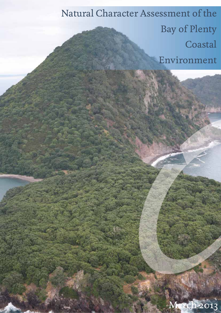Natural Character Assessment of the Bay of Plenty **Coastal** Environment

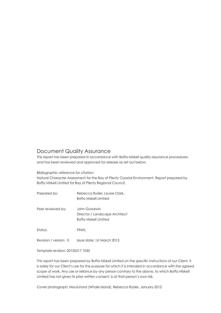### Document Quality Assurance

This report has been prepared in accordance with Boffa Miskell quality assurance procedures, and has been reviewed and approved for release as set out below.

Bibliographic reference for citation:

Natural Character Assessment for the Bay of Plenty Coastal Environment. Report prepared by Boffa Miskell Limited for Bay of Plenty Regional Council.

Prepared by: Rebecca Ryder, Louise Clark, Boffa Miskell Limited

Peer reviewed by: John Goodwin Director / Landscape Architect Boffa Miskell Limited

Status: FINAL

Revision / version: 0 Issue date: 1st March 2013

Template revision: 20120217 1030

This report has been prepared by Boffa Miskell Limited on the specific instructions of our Client. It is solely for our Client's use for the purpose for which it is intended in accordance with the agreed scope of work. Any use or reliance by any person contrary to the above, to which Boffa Miskell Limited has not given its prior written consent, is at that person's own risk.

Cover photograph: Moutuhora (Whale Island), Rebecca Ryder, January 2012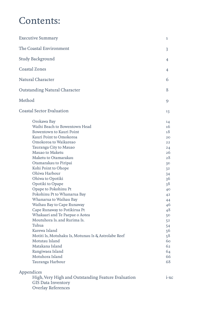# Contents:

| <b>Executive Summary</b>                                                                                                                                                                                                                                                                                                                                                                                                                                                                                                                                                                                                                                                                                     | 1                                                                                                                                                                                            |
|--------------------------------------------------------------------------------------------------------------------------------------------------------------------------------------------------------------------------------------------------------------------------------------------------------------------------------------------------------------------------------------------------------------------------------------------------------------------------------------------------------------------------------------------------------------------------------------------------------------------------------------------------------------------------------------------------------------|----------------------------------------------------------------------------------------------------------------------------------------------------------------------------------------------|
| The Coastal Environment                                                                                                                                                                                                                                                                                                                                                                                                                                                                                                                                                                                                                                                                                      | 3                                                                                                                                                                                            |
| <b>Study Background</b>                                                                                                                                                                                                                                                                                                                                                                                                                                                                                                                                                                                                                                                                                      | 4                                                                                                                                                                                            |
| <b>Coastal Zones</b>                                                                                                                                                                                                                                                                                                                                                                                                                                                                                                                                                                                                                                                                                         | 4                                                                                                                                                                                            |
| Natural Character                                                                                                                                                                                                                                                                                                                                                                                                                                                                                                                                                                                                                                                                                            | 6                                                                                                                                                                                            |
| <b>Outstanding Natural Character</b>                                                                                                                                                                                                                                                                                                                                                                                                                                                                                                                                                                                                                                                                         | 8                                                                                                                                                                                            |
| Method                                                                                                                                                                                                                                                                                                                                                                                                                                                                                                                                                                                                                                                                                                       | 9                                                                                                                                                                                            |
| <b>Coastal Sector Evaluation</b>                                                                                                                                                                                                                                                                                                                                                                                                                                                                                                                                                                                                                                                                             | 13                                                                                                                                                                                           |
| Orokawa Bay<br>Waihi Beach to Bowentown Head<br>Bowentown to Kauri Point<br>Kauri Point to Omokoroa<br>Omokoroa to Waikareao<br>Tauranga City to Mauao<br>Mauao to Maketu<br>Maketu to Otamarakau<br>Otamarakau to Piripai<br>Kohi Point to Ohope<br>Ohiwa Harbour<br>Ohiwa to Opotiki<br>Opotiki to Opape<br>Opape to Pokohinu Pt<br>Pokohinu Pt to Whanarua Bay<br>Whanarua to Waihau Bay<br>Waihau Bay to Cape Runaway<br>Cape Runaway to Potikirua Pt<br>Whakaari and Te Paepae o Aotea<br>Moutuhora Is. and Rurima Is.<br>Tuhua<br>Karewa Island<br>Motiti Is, Motuhaku Is, Motunau Is & Astrolabe Reef<br>Motutau Island<br>Matakana Island<br>Rangiwaea Island<br>Motuhora Island<br>Tauranga Harbour | 14<br>16<br>18<br>20<br>22<br>24<br>26<br>28<br>3 <sup>o</sup><br>3 <sup>2</sup><br>34<br>36<br>38<br>40<br>42<br>44<br>46<br>48<br>50<br>52<br>54<br>56<br>58<br>60<br>62<br>64<br>66<br>68 |
| Appendices<br>High, Very High and Outstanding Feature Evaluation<br><b>GIS Data Inventory</b><br><b>Overlay References</b>                                                                                                                                                                                                                                                                                                                                                                                                                                                                                                                                                                                   | i-xc                                                                                                                                                                                         |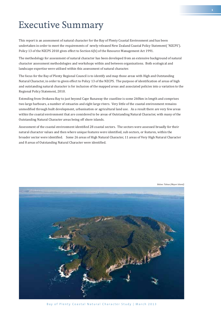# Executive Summary

This report is an assessment of natural character for the Bay of Plenty Coastal Environment and has been undertaken in order to meet the requirements of newly released New Zealand Coastal Policy Statement( 'NZCPS'). Policy 13 of the NZCPS 2010 gives effect to Section 6(b) of the Resource Management Act 1991.

The methodology for assessment of natural character has been developed from an extensive background of natural character assessment methodologies and workshops within and between organisations. Both ecological and landscape expertise were utilised within this assessment of natural character.

The focus for the Bay of Plenty Regional Council is to identify and map those areas with High and Outstanding Natural Character, in order to given effect to Policy 13 of the NZCPS. The purpose of identification of areas of high and outstanding natural character is for inclusion of the mapped areas and associated policies into a variation to the Regional Policy Statement, 2010.

Extending from Orokawa Bay to just beyond Cape Runaway the coastline is some 260km in length and comprises two large harbours, a number of estuaries and eight large rivers. Very little of the coastal environment remains unmodified through built development, urbanisation or agricultural land use. As a result there are very few areas within the coastal environment that are considered to be areas of Outstanding Natural Character, with many of the Outstanding Natural Character areas being off shore islands.

Assessment of the coastal environment identified 28 coastal sectors. The sectors were assessed broadly for their natural character values and then where unique features were identified, sub sectors, or features, within the broader sector were identified. Some 26 areas of High Natural Character, 11 areas of Very High Natural Character and 8 areas of Outstanding Natural Character were identified.



*Below: Tuhua (Mayor Island)*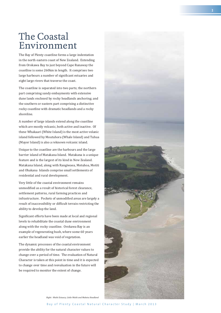## The Coastal Environment

The Bay of Plenty coastline forms a large indentation in the north eastern coast of New Zealand. Extending from Orokawa Bay to just beyond Cape Runaway the coastline is some 260km in length. It comprises two large harbours a number of significant estuaries and eight large rivers that traverse the coast.

The coastline is separated into two parts; the northern part comprising sandy embayments with extensive dune lands enclosed by rocky headlands anchoring; and the southern or eastern part comprising a distinctive rocky coastline with dramatic headlands and a rocky shoreline.

A number of large islands extend along the coastline which are mostly volcanic, both active and inactive. Of these Whakaari (White Island) is the most active volanic island followed by Moutuhora (Whale Island) and Tuhua (Mayor Island) is also a reknown volcanic island.

Unique to the coastline are the harbours and the large barrier island of Matakana Island. Matakana is a unique feature and is the largest of its kind in New Zealand. Matakana Island, along with Rangiwaea, Motuhoa, Motiti and Ohakana Islands comprise small settlements of residential and rural development.

Very little of the coastal environment remains unmodified as a result of historical forest clearance, settlement patterns, rural farming practices and infrastructure. Pockets of unmodified areas are largely a result of inaccessibility or difficult terrain restricting the ability to develop the land.

Significant efforts have been made at local and regional levels to rehabilitate the coastal dune environment along with the rocky coastline. Orokawa Bay is an example of regenerating bush, where some 60 years earlier the headland was void of vegetation.

The dynamic processes of the coastal environment provide the ability for the natural character values to change over a period of time. The evaluation of Natural Character is taken at this point in time and it is expected to change over time and reevaluation in the future will be required to monitor the extent of change.

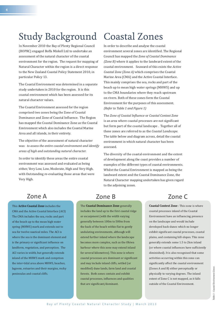# Study Background Coastal Zones

In November 2010 the Bay of Plenty Regional Council (BOPRC) engaged Boffa Miskell Ltd to undertake an assessment of the natural character of the coastal environment for the region. The request for mapping of Natural Character within the region is a direct response to the New Zealand Coastal Policy Statement 2010, in particular Policy 13.

The Coastal Environment was determined in a separate study undertaken in 2010 for the region. It is this coastal environment which has been assessed for its natural character values.

The Coastal Environment assessed for the region comprised two zones being the Zone of Coastal Dominance and Zone of Coastal Influence. The Region has mapped the Coastal Dominance Zone as the Coastal Environment which also includes the Coastal Marine Area and all islands, in their entirety.

The objective of the assessment of natural character was: *to assess the entire coastal environment and identify areas of high and outstanding natural character.*

In order to identify these areas the entire coastal environment was assessed and evaluated as being either, Very Low, Low, Moderate, High and Very High, with Outstanding re-evaluating those areas that were Very High.

In order to describe and analyse the coastal environment several zones are identified. The Regional Council has mapped the *Zone of Coastal Dominance (Zone B)* where it applies to the landward extent of the coastal environment. Seaward of this exists the *Active Coastal Zone (Zone A)* which comprises the Coastal Marine Area (CMA) and the Active Coastal Interface. This mainly comprises the sea, rocks and part of the beach up to mean high water springs (MHWS) and up to the CMA boundaries where they reach upstream on rivers. Both of these zones form the Coastal Environment for the purposes of this assessment. *(Refer to Table 1 and Figure 1)*

The *Zone of Coastal Inϔluence* or *Coastal Context Zone*  is an area where coastal processes are not significant but form part of the coastal landscape . Together all of these zones are referred to as the *Coastal Landscape.* The table below and diagram across, detail the coastal environment in which natural character has been assessed.

The diversity of the coastal environment and the extent of development along the coast provides a number of examples of the different types of coastal environments. Whilst the Coastal Environment is mapped as being the landward extent and the Coastal Dominance Zone, the Natural Character mapping undertaken has given regard to the adjoining zones.

### **Zone A Zone B Zone C**

This **Active Coastal Zone** includes the CMA and the Active Coastal Interface (ACI) The CMA includes the sea, rocks and part of the beach up to the mean high water spring (MHWS) mark and extends out to sea for twelve nautical miles. The ACI is where the sea is the dominant element and is the primary or significant influence on landform, vegetation, and perception. The ACI varies in width, but generally extends inland of the MHWS mark and comprises the inter-tidal area above MHWS, beaches, lagoons, estuaries and their margins, rocky peninsulas and coastal cliffs.

The **Coastal Dominance Zone** generally includes the land up to the first coastal ridge or escarpment (with the width varying generally between 100m to 500m from the back of the beach within flat to gently undulating environments, although will extend further inland where the landscape becomes more complex, such as the Ohiwa harbour where this zone may extend inland for several kilometres). This zone is where coastal processes are dominant or significant and may include inland cliffs, settled (or modified) dune lands, farm land and coastal forests. Both zones contain and exhibit coastal processes, influences and qualities that are significant/dominant.

**Coastal Context Zone** : This zone is where coastal processes inland of the Coastal Environment have an influencing presence on the landscape and would include developed back-dunes which no longer exhibit significant coastal processes, coastal plains, and containing hill-slopes. This zone generally extends some 1.5 to 2km inland (or where coastal influences have sufficiently diminished). It is also recognised that some activities occurring within this zone can significantly affect the coastal environment (Zones A and B) either perceptually or physically to varying degrees. The inland extent of Zone C is not mapped, as it falls outside of the Coastal Environment.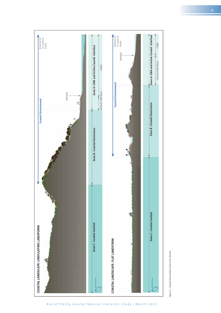

Figure 1 - Coastal Environment Zone Cross Section *Figure 1 - Coastal Environment Zone Cross Section*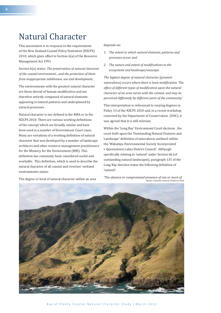## Natural Character

This assessment is in response to the requirements of the New Zealand Coastal Policy Statement (NZCPS) 2010, which gives effect to Section 6(a) of the Resource Management Act 1991.

Section 6(a) states: *The preservation of natural character of the coastal environment....and the protection of them from inappropriate subdivision, use and development.* 

The environments with the greatest natural character are those devoid of human modification and are therefore entirely composed of natural elements appearing in natural patterns and underpinned by natural processes.

Natural character is not defined in the RMA or in the NZCPS 2010. There are various working definitions of the concept which are broadly similar and have been used in a number of Environment Court cases. Many are variations of a working definition of natural character that was developed by a number of landscape architects and other resource management practitioners for the Ministry for the Environment (MfE). This definition has commonly been considered useful and workable. This definition, which is used to describe the natural character of all coastal and riverine/ wetland environments states:

The degree or level of natural character within an area

depends on:

- *1. The extent to which natural elements, patterns and processes occur, and*
- 2. The nature and extent of modifications to the *ecosystems and landscape/seascape.*

*The highest degree of natural character (greatest naturalness) occurs where there is least modification. The effect of different types of modiϔication upon the natural character of an area varies with the context, and may be perceived differently by different parts of the community.'*

This interpretation is referenced to varying degrees in Policy 13 of the NZCPS 2010 and, in a recent workshop convened by the Department of Conservation (DOC), it was agreed that it is still relevant.

Within the 'Long Bay' Environment Court decision , the court built upon the 'Outstanding Natural Features and Landscape' definition of naturalness outlined within the 'Wakatipu Environmental Society Incorporated v Queenstown Lakes District Council'. Although specifically relating to 'natural' under Section 6b (of outstanding natural landscapes), paragraph 135 of the Long Bay decision states the following definition of 'natural':

*'The absence or compromised presence of one or more of Below: Coastline towards Potikirua Point*

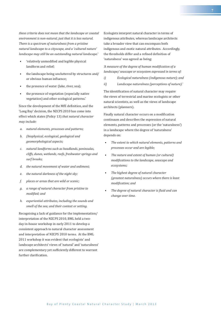*these criteria does not mean that the landscape or coastal environment is non-natural, just that it is less natural. There is a spectrum of naturalness from a pristine natural landscape to a cityscape, and a 'cultured nature' landscape may still be an outstanding natural landscape.'*

- 'relatively unmodified and legible physical landform and relief;
- the landscape being uncluttered by structures and/ or obvious human influence;
- the presence of water (lake, river, sea);
- the presence of vegetation (especially native vegetation) and other ecological patterns.'

Since the development of the MfE definition, and the 'Long Bay' decision, the NZCPS 2010 has come into effect which states (Policy 13) *that natural character may include:*

- *a. natural elements, processes and patterns;*
- *b. (biophysical, ecological, geological and geomorphological aspects;*
- *c. natural landforms such as headlands, peninsulas, cliffs, dunes, wetlands, reefs, freshwater springs and surf breaks;*
- *d. the natural movement of water and sediment;*
- *e. the natural darkness of the night sky;*
- *f. places or areas that are wild or scenic;*
- *g. a range of natural character from pristine to*   $model$ *; and*
- *h. experiential attributes, including the sounds and smell of the sea; and their context or setting.*

Recognising a lack of guidance for the implementation/ interpretation of the NZCPS 2010, BML held a twoday in-house workshop in early 2011 to develop a consistent approach to natural character assessment and interpretation of NZCPS 2010 terms. At the BML 2011 workshop it was evident that ecologists' and landscape architects' views of 'natural' and 'naturalness' are complementary yet sufficiently different to warrant further clarification

Ecologists interpret natural character in terms of indigenous attributes, whereas landscape architects take a broader view that can encompass both indigenous and exotic natural attributes. Accordingly, the thresholds differ and a refined definition of 'naturalness' was agreed as being:

*'A measure of the degree of human modiϔication of a landscape/ seascape or ecosystem expressed in terms of:* 

- *i) Ecological naturalness (indigenous nature); and*
- *ii) Landscape naturalness (perceptions of nature).'*

The identification of natural character may require the views of terrestrial and marine ecologists or other natural scientists, as well as the views of landscape architects (planners).

Finally natural character occurs on a modification continuum and describes the expression of natural elements, patterns and processes (or the 'naturalness') in a landscape where the degree of 'naturalness' depends on:

- *The extent to which natural elements, patterns and processes occur and are legible;*
- *The nature and extent of human (or cultural) modiϔications to the landscape, seascape and ecosystems;*
- *The highest degree of natural character (greatest naturalness) occurs where there is least*   $modification; and$
- *f* The degree of natural character is fluid and can *change over time.*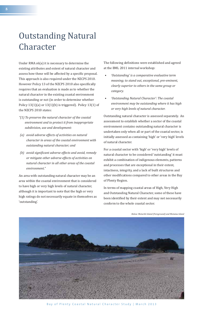# Outstanding Natural Character

Under RMA s6(a) it is necessary to determine the existing attributes and extent of natural character and assess how these will be affected by a specific proposal. This approach is also required under the NZCPS 2010. However Policy 13 of the NZCPS 2010 also specifically requires that an evaluation is made as to whether the natural character in the existing coastal environment is outstanding or not (in order to determine whether Policy  $13(1)(a)$  or  $13(1)(b)$  is triggered). Policy  $13(1)$  of the NZCPS 2010 states:

- *"(1) To preserve the natural character of the coastal environment and to protect it from inappropriate subdivision, use and development:*
- *(a) avoid adverse effects of activities on natural character in areas of the coastal environment with outstanding natural character; and*
- *(b)* avoid significant adverse effects and avoid, remedy *or mitigate other adverse effects of activities on natural character in all other areas of the coastal environment."*

An area with outstanding natural character may be an area within the coastal environment that is considered to have high or very high levels of natural character, although it is important to note that the high or very high ratings do not necessarily equate in themselves as 'outstanding'.

The following definitions were established and agreed at the BML 2011 internal workshop:

- *'Outstanding' is a comparative evaluative term meaning; to stand out, exceptional, pre-eminent, clearly superior to others in the same group or category.*
- *'Outstanding Natural Character': The coastal environment may be outstanding where it has high or very high levels of natural character.*

Outstanding natural character is assessed separately. An assessment to establish whether a sector of the coastal environment contains outstanding natural character is undertaken only when all or part of the coastal sector, is initially assessed as containing 'high' or 'very high' levels of natural character.

For a coastal sector with 'high' or 'very high' levels of natural character to be considered 'outstanding' it must exhibit a combination of indigenous elements, patterns and processes that are exceptional in their extent, intactness, integrity, and a lack of built structures and other modifications compared to other areas in the Bay of Plenty Region.

In terms of mapping coastal areas of High, Very High and Outstanding Natural Character, some of these have been identified by their extent and may not necessarily conform to the whole coastal sector.



*Below: Moturiki Island (Foreground) and Motutau Island*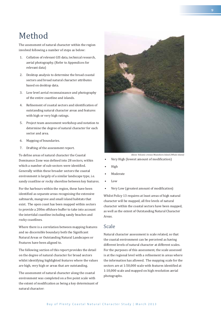## Method

The assessment of natural character within the region involved following a number of steps as below:

- 1. Collation of relevant GIS data, technical research, aerial photography. (Refer to Appendices for relevant data)
- 2. Desktop analysis to determine the broad coastal sectors and broad natural character attributes based on desktop data.
- 3. Low level aerial reconnaissance and photography of the entire coastline and islands.
- 4. Refinement of coastal sectors and identification of outstanding natural character areas and features with high or very high ratings.
- 5. Project team assessment workshop and notation to determine the degree of natural character for each sector and area.
- 6. Mapping of boundaries.
- 7. Drafting of the assessment report.

To define areas of natural character the Coastal Dominance Zone was defined into 28 sectors, within which a number of sub-sectors were identified. Generally within these broader sectors the coastal environment is largely of a similar landscape type, i.e. sandy coastline or rocky shoreline between key features.

For the harbours within the region, these have been identified as separate areas recognising the extensive saltmarsh, mangrove and small island habitats that exist. The open coast has been mapped within sectors to provide a 200m offshore buffer to take into account the intertidal coastline including sandy beaches and rocky coastlines.

Where there is a correlation between mapping features and no discernible boundary both the Significant Natural Areas or Outstanding Natural Landscapes or Features have been aligned to.

The following section of this report provides the detail on the degree of natural character for broad sectors whilst identifying highlighted features where the values are high, very high or areas that are outstanding.

The assessment of natural character along the coastal environment was completed on a five point scale with the extent of modification as being a key determinant of natural character:



 *Above: Volcanic crevass Moutohora Island (Whale Island)*

- Very High (lowest amount of modification)
- Ȉ High
- **Moderate**
- Ȉ Low
- Very Low (greatest amount of modification)

Whilst Policy 13 requires at least areas of high natural character will be mapped, all five levels of natural character within the coastal sectors have been mapped, as well as the extent of Outstanding Natural Character Areas.

### Scale

Natural character assessment is scale related, so that the coastal environment can be perceived as having different levels of natural character at different scales. For the purposes of this assessment, the scale assessed is at the regional level with a refinement in areas where the information has allowed. The mapping scale for the sectors are at 1:50,000 scale with features identified at 1:10,000 scale and mapped on high resolution aerial photographs.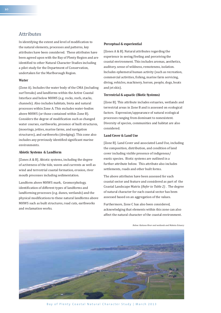### Attributes

In identifying the extent and level of modification to the natural elements, processes and patterns, key attributes have been considered. These attributes have been agreed upon with the Bay of Plenty Region and are identified to other Natural Character Studies including a pilot study for the Department of Conservation, undertaken for the Marlborough Region.

### *Water*

(Zone A). Includes the water body of the CMA (including surf breaks) and landforms within the Active Coastal Interface and below MHWS (e.g. rocks, reefs, stacks, channels). Also includes habitats, biota and natural processes within Zone A. This excludes water-bodies above MHWS (or those contained within Zone B). Considers the degree of modification such as changed water courses, earthworks, presence of built structures, (moorings, jetties, marine farms, and navigation structures), and earthworks (dredging). This zone also includes any previously identified significant marine environments.

#### *Abiotic Systems & Landform*

[Zones A & B]. Abiotic systems, including the degree of activeness of the tide, waves and currents as well as wind and terrestrial coastal formation, erosion, river mouth processes including sedimentation.

Landform above MHWS mark, Geomorphology, identification of different types of landforms and landforming processes (e.g. dunes, wetlands) and the physical modifications to these natural landforms above MHWS such as built structures, road cuts, earthworks and reclamation works.

#### *Perceptual & experiential*

[Zones A & B]. Natural attributes regarding the experience in seeing/feeling and perceiving the coastal environment. This includes aromas, aesthetics, auditory, sense of wildness, remoteness, isolation. Includes ephemeral human activity (such as recreation, commercial activities, fishing, marine farm servicing. diving, vehicles, machinery, horses, people, dogs, boats and jet skis).

#### *Terrestrial & aquatic (Biotic Systems)*

[Zone B]. This attribute includes estuaries, wetlands and terrestrial areas in Zone B and is assessed on ecological factors. Expression/appearance of natural ecological processes ranging from dominant to nonexistent. Diversity of species, communities and habitat are also considered.

#### *Land Cover & Land Use*

[Zone B]. Land Cover and associated Land Use, including the composition, distribution, and condition of land cover including visible presence of indigenous/ exotic species. Biotic systems are outlined in a further attribute below. This attribute also includes settlements, roads and other built forms.

The above attributes have been assessed for each coastal sector and feature and considered as part of the Coastal Landscape Matrix (*Refer to Table 2)* . The degree of natural character for each coastal sector has been assessed based on an aggregation of the values.

Furthermore, Zone C has also been considered, acknowledging that elements within this zone can also affect the natural character of the coastal environment.

*Below: Kaituna River and wetlands and Maketu Estuary*



**10**

Bay of Plenty Coastal Natural Character Study | March 2013